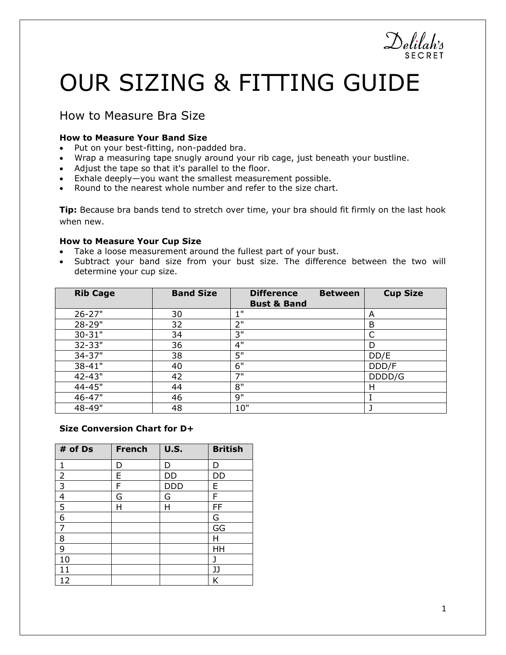# OUR SIZING & FITTING GUIDE

## How to Measure Bra Size

#### **How to Measure Your Band Size**

- Put on your best-fitting, non-padded bra.
- Wrap a measuring tape snugly around your rib cage, just beneath your bustline.
- Adjust the tape so that it's parallel to the floor.
- Exhale deeply—you want the smallest measurement possible.
- Round to the nearest whole number and refer to the size chart.

**Tip:** Because bra bands tend to stretch over time, your bra should fit firmly on the last hook when new.

#### **How to Measure Your Cup Size**

- Take a loose measurement around the fullest part of your bust.
- Subtract your band size from your bust size. The difference between the two will determine your cup size.

| <b>Rib Cage</b> | <b>Band Size</b> | <b>Difference</b><br><b>Bust &amp; Band</b> | <b>Between</b> | <b>Cup Size</b> |
|-----------------|------------------|---------------------------------------------|----------------|-----------------|
| $26 - 27"$      | 30               | 1"                                          |                | A               |
| 28-29"          | 32               | 2"                                          |                | B               |
| $30 - 31"$      | 34               | 3"                                          |                | C               |
| 32-33"          | 36               | 4"                                          |                | D               |
| 34-37"          | 38               | 5"                                          |                | DD/E            |
| 38-41"          | 40               | 6"                                          |                | DDD/F           |
| 42-43"          | 42               | 7"                                          |                | DDDD/G          |
| 44-45"          | 44               | 8"                                          |                | н               |
| 46-47"          | 46               | 9"                                          |                |                 |
| 48-49"          | 48               | 10"                                         |                |                 |

#### **Size Conversion Chart for D+**

| # of Ds        | <b>French</b> | <b>U.S.</b> | <b>British</b> |  |
|----------------|---------------|-------------|----------------|--|
| 1              | D             | D           | D              |  |
| $\overline{2}$ | E             | DD          | DD             |  |
| $\overline{3}$ | F             | <b>DDD</b>  | E              |  |
| $\overline{4}$ | G             | G           | F              |  |
| 5              | н             | Н           | FF             |  |
| 6              |               |             | G              |  |
| 7              |               |             | GG             |  |
| 8              |               |             | н              |  |
| 9              |               |             | HH             |  |
| 10             |               |             | ٦              |  |
| 11             |               |             | JJ             |  |
| 12             |               |             | Κ              |  |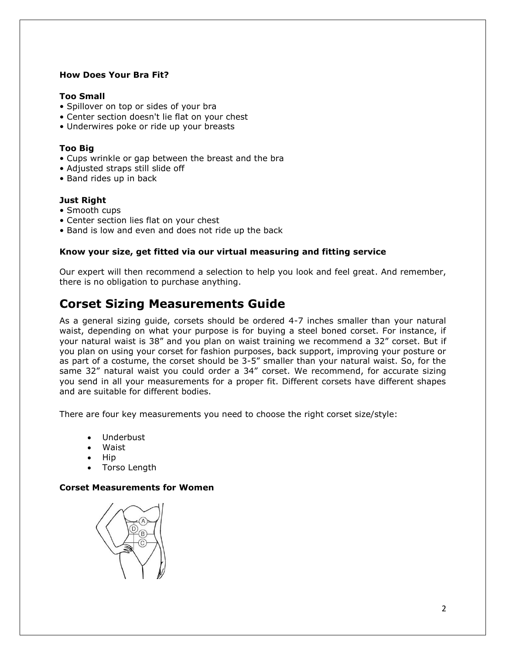#### **How Does Your Bra Fit?**

#### **Too Small**

- Spillover on top or sides of your bra
- Center section doesn't lie flat on your chest
- Underwires poke or ride up your breasts

#### **Too Big**

- Cups wrinkle or gap between the breast and the bra
- Adjusted straps still slide off
- Band rides up in back

#### **Just Right**

- Smooth cups
- Center section lies flat on your chest
- Band is low and even and does not ride up the back

#### **Know your size, get fitted via our virtual measuring and fitting service**

Our expert will then recommend a selection to help you look and feel great. And remember, there is no obligation to purchase anything.

## **Corset Sizing Measurements Guide**

As a general sizing guide, corsets should be ordered 4-7 inches smaller than your natural waist, depending on what your purpose is for buying a steel boned corset. For instance, if your natural waist is 38" and you plan on waist training we recommend a 32" corset. But if you plan on using your corset for fashion purposes, back support, improving your posture or as part of a costume, the corset should be 3-5" smaller than your natural waist. So, for the same 32" natural waist you could order a 34" corset. We recommend, for accurate sizing you send in all your measurements for a proper fit. Different corsets have different shapes and are suitable for different bodies.

There are four key measurements you need to choose the right corset size/style:

- Underbust
- Waist
- Hip
- Torso Length

#### **Corset Measurements for Women**

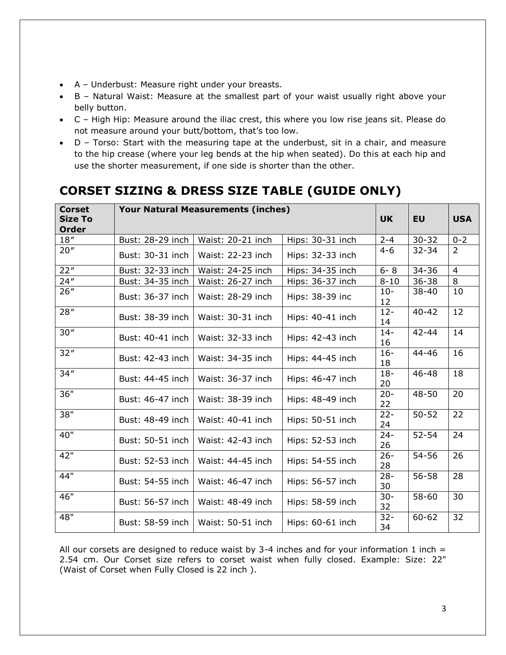- A Underbust: Measure right under your breasts.
- B Natural Waist: Measure at the smallest part of your waist usually right above your belly button.
- C High Hip: Measure around the iliac crest, this where you low rise jeans sit. Please do not measure around your butt/bottom, that's too low.
- D Torso: Start with the measuring tape at the underbust, sit in a chair, and measure to the hip crease (where your leg bends at the hip when seated). Do this at each hip and use the shorter measurement, if one side is shorter than the other.

# **CORSET SIZING & DRESS SIZE TABLE (GUIDE ONLY)**

| <b>Corset</b><br><b>Size To</b><br><b>Order</b> | <b>Your Natural Measurements (inches)</b> |                   |                  |              | <b>EU</b> | <b>USA</b>     |
|-------------------------------------------------|-------------------------------------------|-------------------|------------------|--------------|-----------|----------------|
| 18''                                            | Bust: 28-29 inch                          | Waist: 20-21 inch | Hips: 30-31 inch | $2 - 4$      | $30 - 32$ | $0 - 2$        |
| 20"                                             | Bust: 30-31 inch                          | Waist: 22-23 inch | Hips: 32-33 inch | $4 - 6$      | $32 - 34$ | 2              |
| 22"                                             | Bust: 32-33 inch                          | Waist: 24-25 inch | Hips: 34-35 inch | $6 - 8$      | $34 - 36$ | $\overline{4}$ |
| 24"                                             | Bust: 34-35 inch                          | Waist: 26-27 inch | Hips: 36-37 inch | $8 - 10$     | $36 - 38$ | 8              |
| 26"                                             | Bust: 36-37 inch                          | Waist: 28-29 inch | Hips: 38-39 inc  | $10 -$<br>12 | $38 - 40$ | 10             |
| 28''                                            | Bust: 38-39 inch                          | Waist: 30-31 inch | Hips: 40-41 inch | $12 -$<br>14 | $40 - 42$ | 12             |
| 30''                                            | Bust: 40-41 inch                          | Waist: 32-33 inch | Hips: 42-43 inch | $14 -$<br>16 | $42 - 44$ | 14             |
| 32"                                             | Bust: 42-43 inch                          | Waist: 34-35 inch | Hips: 44-45 inch | $16 -$<br>18 | $44 - 46$ | 16             |
| 34''                                            | Bust: 44-45 inch                          | Waist: 36-37 inch | Hips: 46-47 inch | $18 -$<br>20 | $46 - 48$ | 18             |
| 36"                                             | Bust: 46-47 inch                          | Waist: 38-39 inch | Hips: 48-49 inch | $20 -$<br>22 | 48-50     | 20             |
| 38"                                             | Bust: 48-49 inch                          | Waist: 40-41 inch | Hips: 50-51 inch | $22 -$<br>24 | $50 - 52$ | 22             |
| 40"                                             | Bust: 50-51 inch                          | Waist: 42-43 inch | Hips: 52-53 inch | $24 -$<br>26 | $52 - 54$ | 24             |
| 42"                                             | Bust: 52-53 inch                          | Waist: 44-45 inch | Hips: 54-55 inch | $26 -$<br>28 | 54-56     | 26             |
| 44"                                             | Bust: 54-55 inch                          | Waist: 46-47 inch | Hips: 56-57 inch | $28 -$<br>30 | 56-58     | 28             |
| 46"                                             | Bust: 56-57 inch                          | Waist: 48-49 inch | Hips: 58-59 inch | $30 -$<br>32 | 58-60     | 30             |
| 48"                                             | Bust: 58-59 inch                          | Waist: 50-51 inch | Hips: 60-61 inch | $32 -$<br>34 | $60 - 62$ | 32             |

All our corsets are designed to reduce waist by 3-4 inches and for your information 1 inch  $=$ 2.54 cm. Our Corset size refers to corset waist when fully closed. Example: Size: 22" (Waist of Corset when Fully Closed is 22 inch ).